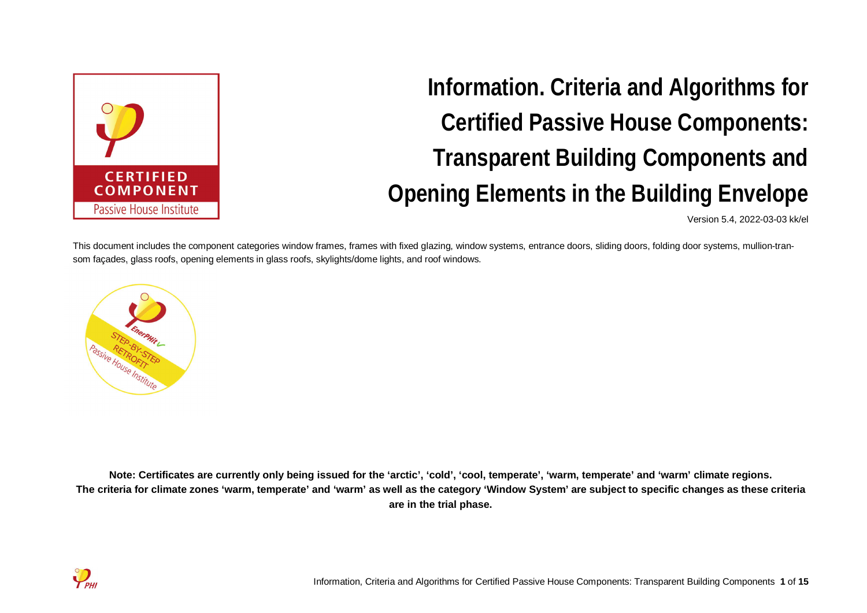

**Information. Criteria and Algorithms for Certified Passive House Components: Transparent Building Components and Opening Elements in the Building Envelope**

Version 5.4, 2022-03-03 kk/el

This document includes the component categories window frames, frames with fixed glazing, window systems, entrance doors, sliding doors, folding door systems, mullion-transom façades, glass roofs, opening elements in glass roofs, skylights/dome lights, and roof windows.



**Note: Certificates are currently only being issued for the 'arctic', 'cold', 'cool, temperate', 'warm, temperate' and 'warm' climate regions. The criteria for climate zones 'warm, temperate' and 'warm' as well as the category 'Window System' are subject to specific changes as these criteria are in the trial phase.**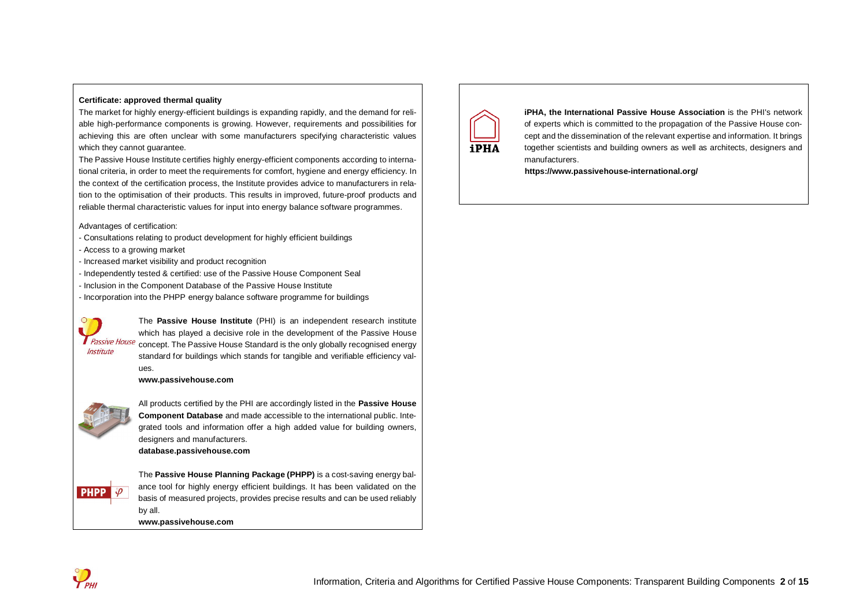#### **Certificate: approved thermal quality**

The market for highly energy-efficient buildings is expanding rapidly, and the demand for reliable high-performance components is growing. However, requirements and possibilities for achieving this are often unclear with some manufacturers specifying characteristic values which they cannot quarantee.

The Passive House Institute certifies highly energy-efficient components according to international criteria, in order to meet the requirements for comfort, hygiene and energy efficiency. In the context of the certification process, the Institute provides advice to manufacturers in relation to the optimisation of their products. This results in improved, future-proof products and reliable thermal characteristic values for input into energy balance software programmes.

Advantages of certification:

- Consultations relating to product development for highly efficient buildings
- Access to a growing market
- Increased market visibility and product recognition
- Independently tested & certified: use of the Passive House Component Seal
- Inclusion in the Component Database of the Passive House Institute
- Incorporation into the PHPP energy balance software programme for buildings



The **Passive House Institute** (PHI) is an independent research institute which has played a decisive role in the development of the Passive House **T** Passive House concept. The Passive House Standard is the only globally recognised energy standard for buildings which stands for tangible and verifiable efficiency values.

#### **www.passivehouse.com**



All products certified by the PHI are accordingly listed in the **Passive House Component Database** and made accessible to the international public. Integrated tools and information offer a high added value for building owners, designers and manufacturers. **database.passivehouse.com**

 $\sqrt{\rho}$ **PHPP** 

The **Passive House Planning Package (PHPP)** is a cost-saving energy balance tool for highly energy efficient buildings. It has been validated on the basis of measured projects, provides precise results and can be used reliably by all.

**www.passivehouse.com**



**iPHA, the International Passive House Association** is the PHI's network of experts which is committed to the propagation of the Passive House concept and the dissemination of the relevant expertise and information. It brings together scientists and building owners as well as architects, designers and manufacturers.

**https://www.passivehouse-international.org/**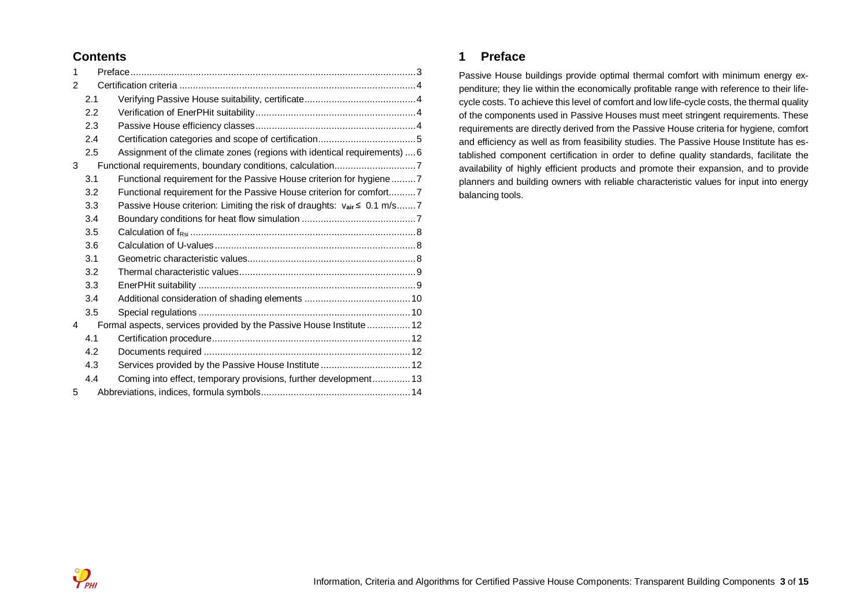## **Contents**

| 1 |     |                                                                          |  |
|---|-----|--------------------------------------------------------------------------|--|
| 2 |     |                                                                          |  |
|   | 2.1 |                                                                          |  |
|   | 2.2 |                                                                          |  |
|   | 2.3 |                                                                          |  |
|   | 2.4 |                                                                          |  |
|   | 2.5 | Assignment of the climate zones (regions with identical requirements)  6 |  |
| 3 |     | Functional requirements, boundary conditions, calculation7               |  |
|   | 3.1 | Functional requirement for the Passive House criterion for hygiene7      |  |
|   | 3.2 | Functional requirement for the Passive House criterion for comfort7      |  |
|   | 3.3 | Passive House criterion: Limiting the risk of draughts: vair ≤ 0.1 m/s7  |  |
|   | 3.4 |                                                                          |  |
|   | 3.5 |                                                                          |  |
|   | 3.6 |                                                                          |  |
|   | 3.1 |                                                                          |  |
|   | 3.2 |                                                                          |  |
|   | 3.3 |                                                                          |  |
|   | 3.4 |                                                                          |  |
|   | 3.5 |                                                                          |  |
| 4 |     | Formal aspects, services provided by the Passive House Institute  12     |  |
|   | 4.1 |                                                                          |  |
|   | 4.2 |                                                                          |  |
|   | 4.3 | Services provided by the Passive House Institute  12                     |  |
|   | 4.4 | Coming into effect, temporary provisions, further development 13         |  |
| 5 |     |                                                                          |  |
|   |     |                                                                          |  |

## **1 Preface**

Passive House buildings provide optimal thermal comfort with minimum energy expenditure; they lie within the economically profitable range with reference to their lifecycle costs. To achieve this level of comfort and low life-cycle costs, the thermal quality of the components used in Passive Houses must meet stringent requirements. These requirements are directly derived from the Passive House criteria for hygiene, comfort and efficiency as well as from feasibility studies. The Passive House Institute has established component certification in order to define quality standards, facilitate the availability of highly efficient products and promote their expansion, and to provide planners and building owners with reliable characteristic values for input into energy balancing tools.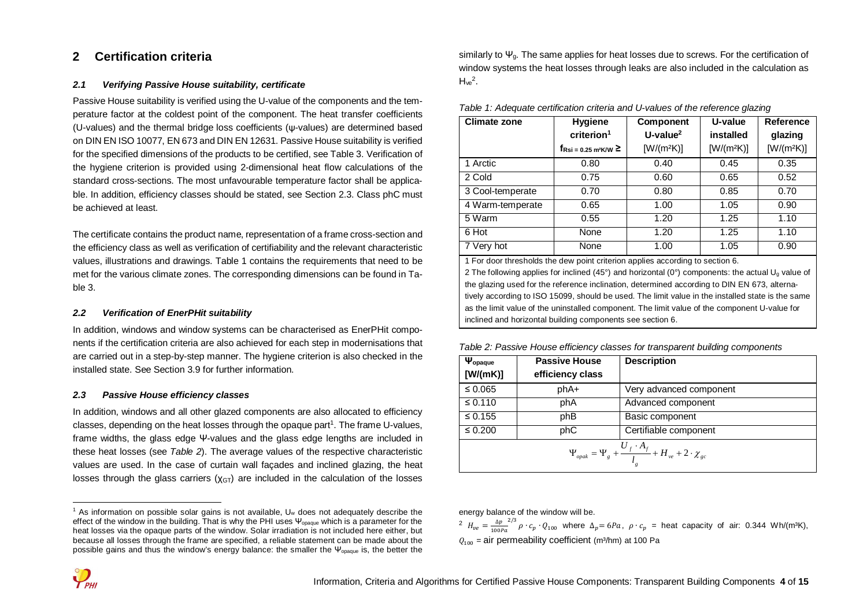## **2 Certification criteria**

#### *2.1 Verifying Passive House suitability, certificate*

Passive House suitability is verified using the U-value of the components and the temperature factor at the coldest point of the component. The heat transfer coefficients (U-values) and the thermal bridge loss coefficients (ψ-values) are determined based on DIN EN ISO 10077, EN 673 and DIN EN 12631. Passive House suitability is verified for the specified dimensions of the products to be certified, see Table 3. Verification of the hygiene criterion is provided using 2-dimensional heat flow calculations of the standard cross-sections. The most unfavourable temperature factor shall be applicable. In addition, efficiency classes should be stated, see Section 2.3. Class phC must be achieved at least.

The certificate contains the product name, representation of a frame cross-section and the efficiency class as well as verification of certifiability and the relevant characteristic values, illustrations and drawings. Table 1 contains the requirements that need to be met for the various climate zones. The corresponding dimensions can be found in Table 3.

#### *2.2 Verification of EnerPHit suitability*

In addition, windows and window systems can be characterised as EnerPHit components if the certification criteria are also achieved for each step in modernisations that are carried out in a step-by-step manner. The hygiene criterion is also checked in the installed state. See Section 3.9 for further information.

#### *2.3 Passive House efficiency classes*

In addition, windows and all other glazed components are also allocated to efficiency classes, depending on the heat losses through the opaque part<sup>1</sup>. The frame U-values, frame widths, the glass edge Ψ-values and the glass edge lengths are included in these heat losses (see *Table 2*). The average values of the respective characteristic values are used. In the case of curtain wall façades and inclined glazing, the heat losses through the glass carriers  $(\chi_{GT})$  are included in the calculation of the losses similarly to  $\Psi_{q}$ . The same applies for heat losses due to screws. For the certification of window systems the heat losses through leaks are also included in the calculation as  $H_{ve}^2$ .

| <b>Climate zone</b> | <b>Hygiene</b><br>criterion <sup>1</sup><br>$f_{\text{Rsi} = 0.25 \text{ m}^2 \text{K/W}}$ $\geq$ | <b>Component</b><br>$U$ -value <sup>2</sup><br>$[W/(m^2K)]$ | U-value<br>installed<br>$[W/(m^2K)]$ | Reference<br>glazing<br>$[W/(m^2K)]$ |
|---------------------|---------------------------------------------------------------------------------------------------|-------------------------------------------------------------|--------------------------------------|--------------------------------------|
| 1 Arctic            | 0.80                                                                                              | 0.40                                                        | 0.45                                 | 0.35                                 |
| 2 Cold              | 0.75                                                                                              | 0.60                                                        | 0.65                                 | 0.52                                 |
| 3 Cool-temperate    | 0.70                                                                                              | 0.80                                                        | 0.85                                 | 0.70                                 |
| 4 Warm-temperate    | 0.65                                                                                              | 1.00                                                        | 1.05                                 | 0.90                                 |
| 5 Warm              | 0.55                                                                                              | 1.20                                                        | 1.25                                 | 1.10                                 |
| 6 Hot               | None                                                                                              | 1.20                                                        | 1.25                                 | 1.10                                 |
| 7 Very hot          | None                                                                                              | 1.00                                                        | 1.05                                 | 0.90                                 |

*Table 1: Adequate certification criteria and U-values of the reference glazing*

1 For door thresholds the dew point criterion applies according to section 6. 2 The following applies for inclined (45°) and horizontal (0°) components: the actual  $U<sub>0</sub>$  value of the glazing used for the reference inclination, determined according to DIN EN 673, alternatively according to ISO 15099, should be used. The limit value in the installed state is the same as the limit value of the uninstalled component. The limit value of the component U-value for inclined and horizontal building components see section 6.

*Table 2: Passive House efficiency classes for transparent building components*

| $\Psi_{\text{opaque}}$<br>[W/(mK)]                                              | <b>Passive House</b><br>efficiency class | <b>Description</b>      |  |  |  |  |  |  |  |  |
|---------------------------------------------------------------------------------|------------------------------------------|-------------------------|--|--|--|--|--|--|--|--|
| $\leq 0.065$                                                                    | phA+                                     | Very advanced component |  |  |  |  |  |  |  |  |
| $\leq 0.110$                                                                    | phA                                      | Advanced component      |  |  |  |  |  |  |  |  |
| $\leq 0.155$                                                                    | phB                                      | Basic component         |  |  |  |  |  |  |  |  |
| $\leq 0.200$                                                                    | phC                                      | Certifiable component   |  |  |  |  |  |  |  |  |
| $\Psi_{opak} = \Psi_g + \frac{U_f \cdot A_f}{l_g} + H_{ve} + 2 \cdot \chi_{gc}$ |                                          |                         |  |  |  |  |  |  |  |  |

energy balance of the window will be.

<sup>2</sup>  $H_{ve} = \frac{\Delta p}{100}$  $100Pa$  $^{2/3}$  ρ ·  $c_p$  ·  $Q_{100}$  where  $\Delta_p = 6Pa$ , ρ ·  $c_p$  = heat capacity of air: 0.344 Wh/(m<sup>3</sup>K),  $Q_{100}$  = air permeability coefficient (m<sup>3</sup>/hm) at 100 Pa

<sup>&</sup>lt;sup>1</sup> As information on possible solar gains is not available, U<sub>w</sub> does not adequately describe the effect of the window in the building. That is why the PHI uses  $\Psi_{\text{onauge}}$  which is a parameter for the heat losses via the opaque parts of the window. Solar irradiation is not included here either, but because all losses through the frame are specified, a reliable statement can be made about the possible gains and thus the window's energy balance: the smaller the  $\Psi_{\text{onauge}}$  is, the better the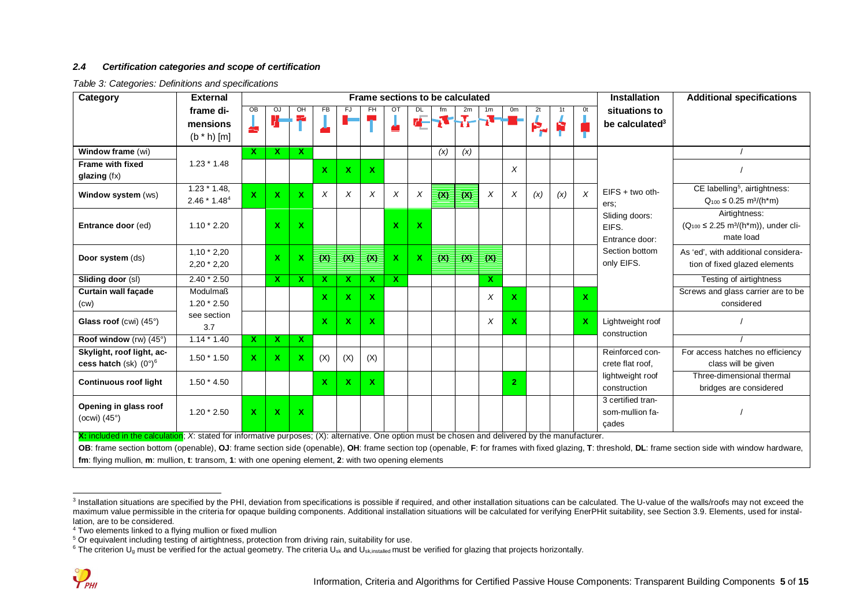#### *2.4 Certification categories and scope of certification*

*Table 3: Categories: Definitions and specifications*

| Category                                                                                                                                                                                                                                                    | <b>External</b>                 |                         | <b>Installation</b><br>Frame sections to be calculated<br><b>Additional specifications</b> |              |     |              |                   |              |    |     |                   |                           |                |     |     |              |                                               |                                                                                                                                                                                                       |  |
|-------------------------------------------------------------------------------------------------------------------------------------------------------------------------------------------------------------------------------------------------------------|---------------------------------|-------------------------|--------------------------------------------------------------------------------------------|--------------|-----|--------------|-------------------|--------------|----|-----|-------------------|---------------------------|----------------|-----|-----|--------------|-----------------------------------------------|-------------------------------------------------------------------------------------------------------------------------------------------------------------------------------------------------------|--|
|                                                                                                                                                                                                                                                             | frame di-                       | $\overline{OB}$         | OJ                                                                                         | OH           | FB  | FJ.          | FH                | от           | DL |     | 2m                | 1m                        | 0m             | 2t  | 1t  | 0t           | situations to                                 |                                                                                                                                                                                                       |  |
|                                                                                                                                                                                                                                                             | mensions                        | Ť                       | V                                                                                          | Ŧ.           |     |              | ч.                |              | 71 |     | $\mathbf{F}$      | -7-                       | - 1            | ę,  | Ŕ   |              | be calculated <sup>3</sup>                    |                                                                                                                                                                                                       |  |
|                                                                                                                                                                                                                                                             | $(b * h)$ [m]                   |                         |                                                                                            |              |     |              |                   |              |    |     |                   |                           |                |     |     |              |                                               |                                                                                                                                                                                                       |  |
| Window frame (wi)                                                                                                                                                                                                                                           |                                 | $\mathbf{x}$            | X.                                                                                         | x            |     |              |                   |              |    | (x) | (x)               |                           |                |     |     |              |                                               |                                                                                                                                                                                                       |  |
| <b>Frame with fixed</b>                                                                                                                                                                                                                                     | $1.23 * 1.48$                   |                         |                                                                                            |              | X   | $\mathbf{x}$ | $\mathbf{x}$      |              |    |     |                   |                           | X              |     |     |              |                                               |                                                                                                                                                                                                       |  |
| glazing (fx)                                                                                                                                                                                                                                                |                                 |                         |                                                                                            |              |     |              |                   |              |    |     |                   |                           |                |     |     |              |                                               |                                                                                                                                                                                                       |  |
| Window system (ws)                                                                                                                                                                                                                                          | $1.23 * 1.48$<br>$2.46 * 1.484$ | $\mathbf x$             | $\mathbf{x}$                                                                               | $\mathbf{x}$ | X   | X            | $\chi$            | X            | Χ  |     | $(X)$ $(X)$       | $\boldsymbol{\mathsf{X}}$ | X              | (x) | (x) | $\times$     | $EIFS + two$ oth-<br>ers:                     | CE labelling <sup>5</sup> , airtightness:<br>$Q_{100} \le 0.25$ m <sup>3</sup> /(h <sup>*</sup> m)                                                                                                    |  |
| Entrance door (ed)                                                                                                                                                                                                                                          | $1.10 * 2.20$                   |                         | X.                                                                                         | X.           |     |              |                   | $\mathbf{x}$ | X  |     |                   |                           |                |     |     |              | Sliding doors:<br>EIFS.<br>Entrance door:     | Airtightness:<br>$(Q_{100} \le 2.25 \text{ m}^3/(\text{h}^* \text{m}))$ , under cli-<br>mate load                                                                                                     |  |
| Door system (ds)                                                                                                                                                                                                                                            | $1,10 * 2,20$<br>$2,20 * 2,20$  |                         | X.                                                                                         | X.           |     |              | $(X)$ $(X)$ $(X)$ | $\mathbf{x}$ | X. |     | $(X)$ $(X)$ $(X)$ |                           |                |     |     |              | Section bottom<br>only EIFS.                  | As 'ed', with additional considera-<br>tion of fixed glazed elements                                                                                                                                  |  |
| Sliding door (sl)                                                                                                                                                                                                                                           | $2.40 * 2.50$                   |                         | $\mathbf{x}$                                                                               | X.           | x   | X            | <b>X</b>          | $\mathbf{x}$ |    |     |                   | X                         |                |     |     |              |                                               | Testing of airtightness                                                                                                                                                                               |  |
| <b>Curtain wall facade</b>                                                                                                                                                                                                                                  | <b>Modulmaß</b>                 |                         |                                                                                            |              | X   | X            | X.                |              |    |     |                   | X                         | X.             |     |     | $\mathbf{x}$ |                                               | Screws and glass carrier are to be                                                                                                                                                                    |  |
| (cw)                                                                                                                                                                                                                                                        | $1.20 * 2.50$                   |                         |                                                                                            |              |     |              |                   |              |    |     |                   |                           |                |     |     |              |                                               | considered                                                                                                                                                                                            |  |
| Glass roof (cwi) (45°)                                                                                                                                                                                                                                      | see section<br>3.7              |                         |                                                                                            |              | X   | $\mathbf{x}$ | $\mathbf{x}$      |              |    |     |                   | X                         | X.             |     |     | $\mathbf{x}$ | Lightweight roof<br>construction              |                                                                                                                                                                                                       |  |
| Roof window (rw) (45°)                                                                                                                                                                                                                                      | $1.14 * 1.40$                   | $\overline{\mathbf{x}}$ | <b>X</b>                                                                                   | X.           |     |              |                   |              |    |     |                   |                           |                |     |     |              |                                               |                                                                                                                                                                                                       |  |
| Skylight, roof light, ac-<br>cess hatch (sk) $(0^{\circ})^6$                                                                                                                                                                                                | $1.50 * 1.50$                   | $\mathbf{x}$            | $\mathbf{x}$                                                                               | X.           | (X) | (X)          | (X)               |              |    |     |                   |                           |                |     |     |              | Reinforced con-<br>crete flat roof.           | For access hatches no efficiency<br>class will be given                                                                                                                                               |  |
| <b>Continuous roof light</b>                                                                                                                                                                                                                                | $1.50 * 4.50$                   |                         |                                                                                            |              | X   | $\mathbf x$  | $\mathbf{x}$      |              |    |     |                   |                           | 2 <sup>1</sup> |     |     |              | lightweight roof<br>construction              | Three-dimensional thermal<br>bridges are considered                                                                                                                                                   |  |
| Opening in glass roof<br>(ocwi) $(45^\circ)$                                                                                                                                                                                                                | $1.20 * 2.50$                   | $\overline{\mathbf{X}}$ | $\mathbf{x}$                                                                               | X            |     |              |                   |              |    |     |                   |                           |                |     |     |              | 3 certified tran-<br>som-mullion fa-<br>cades |                                                                                                                                                                                                       |  |
| X: included in the calculation; X: stated for informative purposes; (X): alternative. One option must be chosen and delivered by the manufacturer.<br>fm: flying mullion, m: mullion, t: transom, 1: with one opening element, 2: with two opening elements |                                 |                         |                                                                                            |              |     |              |                   |              |    |     |                   |                           |                |     |     |              |                                               | OB: frame section bottom (openable), OJ: frame section side (openable), OH: frame section top (openable, F: for frames with fixed glazing, T: threshold, DL: frame section side with window hardware, |  |

<sup>&</sup>lt;sup>3</sup> Installation situations are specified by the PHI, deviation from specifications is possible if required, and other installation situations can be calculated. The U-value of the walls/roofs may not exceed the maximum value permissible in the criteria for opaque building components. Additional installation situations will be calculated for verifying EnerPHit suitability, see Section 3.9. Elements, used for installation, are to be considered.

<sup>4</sup> Two elements linked to a flying mullion or fixed mullion

<sup>&</sup>lt;sup>5</sup> Or equivalent including testing of airtightness, protection from driving rain, suitability for use.<br><sup>6</sup> The criterion U<sub>9</sub> must be verified for the actual geometry. The criteria U<sub>sk</sub> and U<sub>skinstaled</sub> must be verified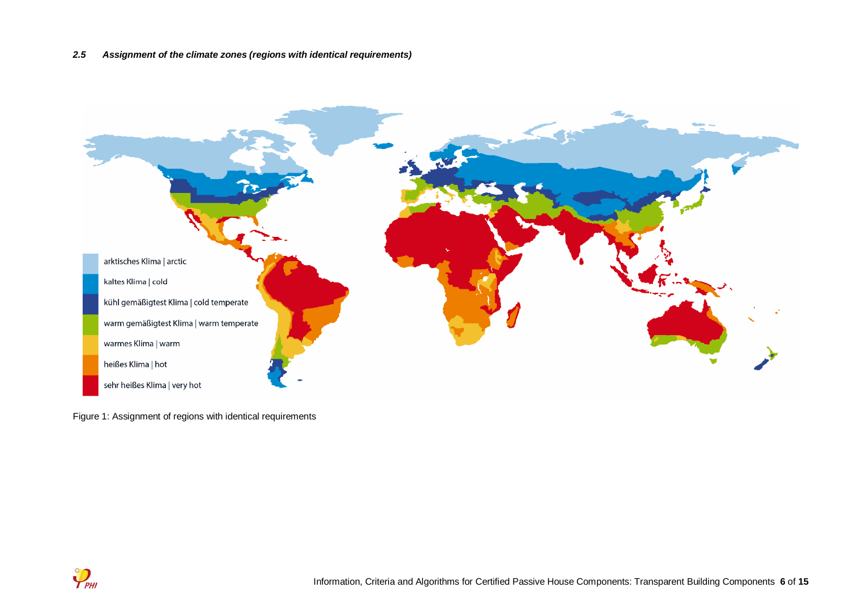

Figure 1: Assignment of regions with identical requirements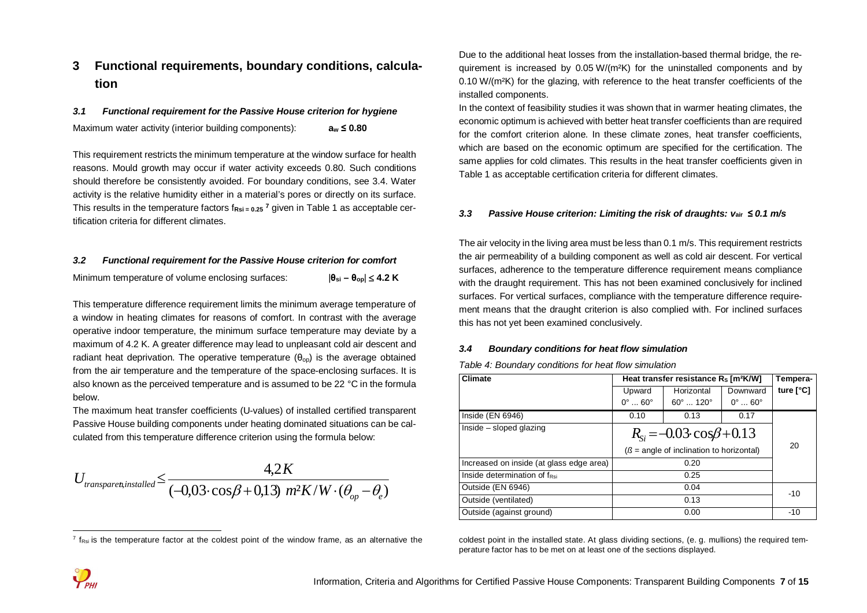## **3 Functional requirements, boundary conditions, calculation**

## *3.1 Functional requirement for the Passive House criterion for hygiene* Maximum water activity (interior building components): **a<sup>w</sup> ≤ 0.80**

This requirement restricts the minimum temperature at the window surface for health reasons. Mould growth may occur if water activity exceeds 0.80. Such conditions should therefore be consistently avoided. For boundary conditions, see 3.4. Water activity is the relative humidity either in a material's pores or directly on its surface. This results in the temperature factors f<sub>Rsi = 0.25</sub> <sup>7</sup> given in Table 1 as acceptable certification criteria for different climates.

#### *3.2 Functional requirement for the Passive House criterion for comfort*

| Minimum temperature of volume enclosing surfaces: | $ \theta_{si} - \theta_{op}  \leq 4.2$ K |
|---------------------------------------------------|------------------------------------------|
|---------------------------------------------------|------------------------------------------|

This temperature difference requirement limits the minimum average temperature of a window in heating climates for reasons of comfort. In contrast with the average operative indoor temperature, the minimum surface temperature may deviate by a maximum of 4.2 K. A greater difference may lead to unpleasant cold air descent and radiant heat deprivation. The operative temperature  $(\theta_{00})$  is the average obtained from the air temperature and the temperature of the space-enclosing surfaces. It is also known as the perceived temperature and is assumed to be 22 °C in the formula below.

The maximum heat transfer coefficients (U-values) of installed certified transparent Passive House building components under heating dominated situations can be calculated from this temperature difference criterion using the formula below:

$$
U_{transparent, installed} \leq \frac{4,2K}{(-0,03\cdot\cos\beta + 0,13) \ m^2K/W\cdot(\theta_{op} - \theta_e)}
$$

Due to the additional heat losses from the installation-based thermal bridge, the requirement is increased by  $0.05 W/(m^2K)$  for the uninstalled components and by 0.10 W/(m²K) for the glazing, with reference to the heat transfer coefficients of the installed components.

In the context of feasibility studies it was shown that in warmer heating climates, the economic optimum is achieved with better heat transfer coefficients than are required for the comfort criterion alone. In these climate zones, heat transfer coefficients, which are based on the economic optimum are specified for the certification. The same applies for cold climates. This results in the heat transfer coefficients given in Table 1 as acceptable certification criteria for different climates.

#### *3.3 Passive House criterion: Limiting the risk of draughts: v***air** *≤ 0.1 m/s*

The air velocity in the living area must be less than 0.1 m/s. This requirement restricts the air permeability of a building component as well as cold air descent. For vertical surfaces, adherence to the temperature difference requirement means compliance with the draught requirement. This has not been examined conclusively for inclined surfaces. For vertical surfaces, compliance with the temperature difference requirement means that the draught criterion is also complied with. For inclined surfaces this has not yet been examined conclusively.

#### *3.4 Boundary conditions for heat flow simulation*

| Table 4: Boundary conditions for heat flow simulation |  |  |  |
|-------------------------------------------------------|--|--|--|
|-------------------------------------------------------|--|--|--|

| Climate                                  |                                            | Heat transfer resistance R <sub>s</sub> [m <sup>2</sup> K/W] |                           | Tempera-           |  |  |  |  |
|------------------------------------------|--------------------------------------------|--------------------------------------------------------------|---------------------------|--------------------|--|--|--|--|
|                                          | Upward                                     | Horizontal                                                   | Downward                  | ture $[^{\circ}C]$ |  |  |  |  |
|                                          | $0^{\circ}$ $60^{\circ}$                   | $60^{\circ}$ 120 $^{\circ}$                                  | $0^{\circ}$ 60 $^{\circ}$ |                    |  |  |  |  |
| Inside (EN 6946)                         | 0.10                                       | 0.13                                                         | 0.17                      |                    |  |  |  |  |
| Inside - sloped glazing                  |                                            | $R_{\rm si} = -0.03 \cdot \cos\beta + 0.13$                  |                           |                    |  |  |  |  |
|                                          | $(S = angle of inclination to horizontal)$ | 20                                                           |                           |                    |  |  |  |  |
| Increased on inside (at glass edge area) |                                            | 0.20                                                         |                           |                    |  |  |  |  |
| Inside determination of f <sub>Rsi</sub> |                                            | 0.25                                                         |                           |                    |  |  |  |  |
| Outside (EN 6946)                        |                                            | $-10$                                                        |                           |                    |  |  |  |  |
| Outside (ventilated)                     |                                            | 0.13                                                         |                           |                    |  |  |  |  |
| Outside (against ground)                 |                                            | 0.00                                                         |                           | $-10$              |  |  |  |  |

coldest point in the installed state. At glass dividing sections, (e. g. mullions) the required temperature factor has to be met on at least one of the sections displayed.

 $\frac{7}{R_{\text{Rsi}}}$  is the temperature factor at the coldest point of the window frame, as an alternative the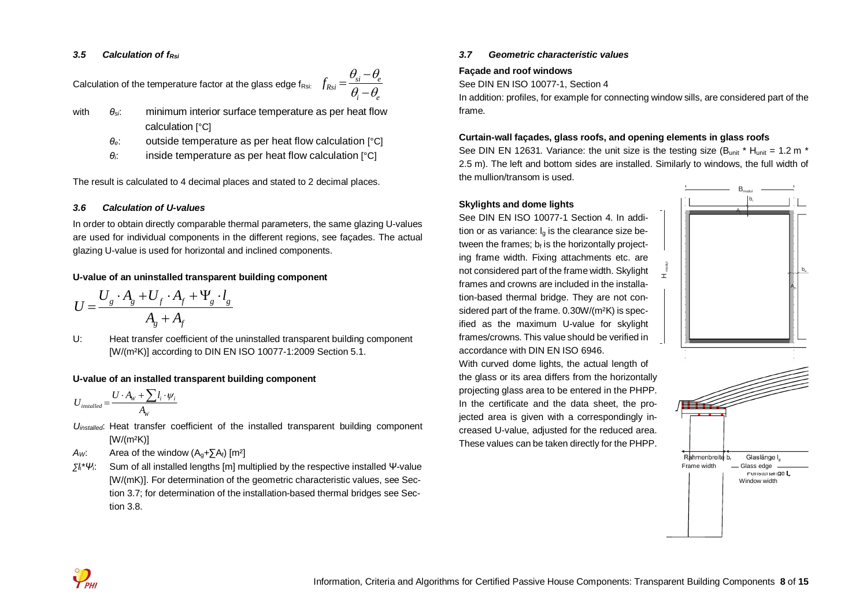### *3.5 Calculation of fRsi*

Calculation of the temperature factor at the glass edge  $f_{Rsi:}$  $f_{Rsi} = \frac{\sigma_{si} - \sigma_e}{\theta_i - \theta_s}$  $=\frac{\theta_{si}-\theta_{si}}{2}$ 

- with *θsi*: minimum interior surface temperature as per heat flow calculation [°C]
	- *θe*: outside temperature as per heat flow calculation [°C]

*i e*

 $\theta_a$  —  $\theta_a$ -

*θi*: inside temperature as per heat flow calculation [°C]

The result is calculated to 4 decimal places and stated to 2 decimal places.

## *3.6 Calculation of U-values*

In order to obtain directly comparable thermal parameters, the same glazing U-values are used for individual components in the different regions, see façades. The actual glazing U-value is used for horizontal and inclined components.

## **U-value of an uninstalled transparent building component**

$$
U = \frac{U_g \cdot A_g + U_f \cdot A_f + \Psi_g \cdot l_g}{A_g + A_f}
$$

U: Heat transfer coefficient of the uninstalled transparent building component [W/(m²K)] according to DIN EN ISO 10077-1:2009 Section 5.1.

## **U-value of an installed transparent building component**

$$
U_{\text{installed}} = \frac{U \cdot A_{\text{W}} + \sum l_i \cdot \psi_i}{A_{\text{W}}}
$$

- *Uinstalled*: Heat transfer coefficient of the installed transparent building component  $[W/(m^2K)]$
- *Aw*: Area of the window  $(A<sub>g</sub>+ $\sum A<sub>f</sub>$ ) [m<sup>2</sup>]$
- *∑li\*Ψi*: Sum of all installed lengths [m] multiplied by the respective installed Ψ-value [W/(mK)]. For determination of the geometric characteristic values, see Section 3.7; for determination of the installation-based thermal bridges see Section 3.8.

## *3.7 Geometric characteristic values*

## **Façade and roof windows**

See DIN EN ISO 10077-1, Section 4

In addition: profiles, for example for connecting window sills, are considered part of the frame.

## **Curtain-wall façades, glass roofs, and opening elements in glass roofs**

See DIN EN 12631. Variance: the unit size is the testing size (B<sub>unit</sub>  $*$  H<sub>unit</sub> = 1.2 m  $*$ 2.5 m). The left and bottom sides are installed. Similarly to windows, the full width of the mullion/transom is used.

工

## **Skylights and dome lights**

See DIN EN ISO 10077-1 Section 4. In addition or as variance:  $I<sub>a</sub>$  is the clearance size between the frames;  $b_f$  is the horizontally projecting frame width. Fixing attachments etc. are not considered part of the frame width. Skylight frames and crowns are included in the installation-based thermal bridge. They are not considered part of the frame. 0.30W/(m²K) is specified as the maximum U-value for skylight frames/crowns. This value should be verified in accordance with DIN EN ISO 6946.

With curved dome lights, the actual length of the glass or its area differs from the horizontally projecting glass area to be entered in the PHPP. In the certificate and the data sheet, the projected area is given with a correspondingly increased U-value, adjusted for the reduced area. These values can be taken directly for the PHPP.



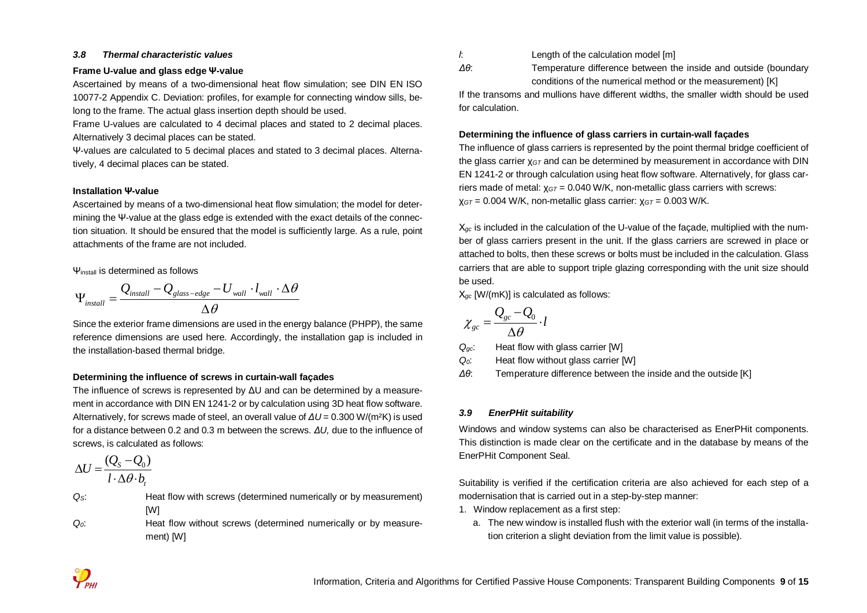#### *3.8 Thermal characteristic values*

#### **Frame U-value and glass edge Ψ-value**

Ascertained by means of a two-dimensional heat flow simulation; see DIN EN ISO 10077-2 Appendix C. Deviation: profiles, for example for connecting window sills, belong to the frame. The actual glass insertion depth should be used.

Frame U-values are calculated to 4 decimal places and stated to 2 decimal places. Alternatively 3 decimal places can be stated.

Ψ-values are calculated to 5 decimal places and stated to 3 decimal places. Alternatively, 4 decimal places can be stated.

#### **Installation Ψ-value**

Ascertained by means of a two-dimensional heat flow simulation; the model for determining the Ψ-value at the glass edge is extended with the exact details of the connection situation. It should be ensured that the model is sufficiently large. As a rule, point attachments of the frame are not included.

 $\Psi_{\text{install}}$  is determined as follows

$$
\Psi_{\text{install}} = \frac{Q_{\text{install}} - Q_{\text{glass-edge}} - U_{\text{wall}} \cdot l_{\text{wall}} \cdot \Delta \theta}{\Delta \theta}
$$

Since the exterior frame dimensions are used in the energy balance (PHPP), the same reference dimensions are used here. Accordingly, the installation gap is included in the installation-based thermal bridge.

#### **Determining the influence of screws in curtain-wall façades**

The influence of screws is represented by ΔU and can be determined by a measurement in accordance with DIN EN 1241-2 or by calculation using 3D heat flow software. Alternatively, for screws made of steel, an overall value of *ΔU* = 0.300 W/(m²K) is used for a distance between 0.2 and 0.3 m between the screws. *ΔU,* due to the influence of screws, is calculated as follows:

$$
\Delta U = \frac{(Q_s - Q_0)}{l \cdot \Delta \theta \cdot b_t}
$$

 $Q<sub>S</sub>$ : Heat flow with screws (determined numerically or by measurement) [W]

 $Q$ <sup> $0$ </sup>: Heat flow without screws (determined numerically or by measurement) [W]

*l*: Length of the calculation model [m]

*Δθ*: Temperature difference between the inside and outside (boundary conditions of the numerical method or the measurement) [K]

If the transoms and mullions have different widths, the smaller width should be used for calculation.

#### **Determining the influence of glass carriers in curtain-wall façades**

The influence of glass carriers is represented by the point thermal bridge coefficient of the glass carrier χ*GT* and can be determined by measurement in accordance with DIN EN 1241-2 or through calculation using heat flow software. Alternatively, for glass carriers made of metal: χ*GT* = 0.040 W/K, non-metallic glass carriers with screws: χ*GT* = 0.004 W/K, non-metallic glass carrier: χ*GT* = 0.003 W/K.

Χ*gc* is included in the calculation of the U-value of the façade, multiplied with the number of glass carriers present in the unit. If the glass carriers are screwed in place or attached to bolts, then these screws or bolts must be included in the calculation. Glass carriers that are able to support triple glazing corresponding with the unit size should be used.

Χ*gc* [W/(mK)] is calculated as follows:

$$
\chi_{gc} = \frac{Q_{gc} - Q_0}{\Delta \theta} \cdot l
$$

*Qgc*: Heat flow with glass carrier [W]

- *Q0*: Heat flow without glass carrier [W]
- *Δθ*: Temperature difference between the inside and the outside [K]

## *3.9 EnerPHit suitability*

Windows and window systems can also be characterised as EnerPHit components. This distinction is made clear on the certificate and in the database by means of the EnerPHit Component Seal.

Suitability is verified if the certification criteria are also achieved for each step of a modernisation that is carried out in a step-by-step manner:

- 1. Window replacement as a first step:
	- a. The new window is installed flush with the exterior wall (in terms of the installation criterion a slight deviation from the limit value is possible).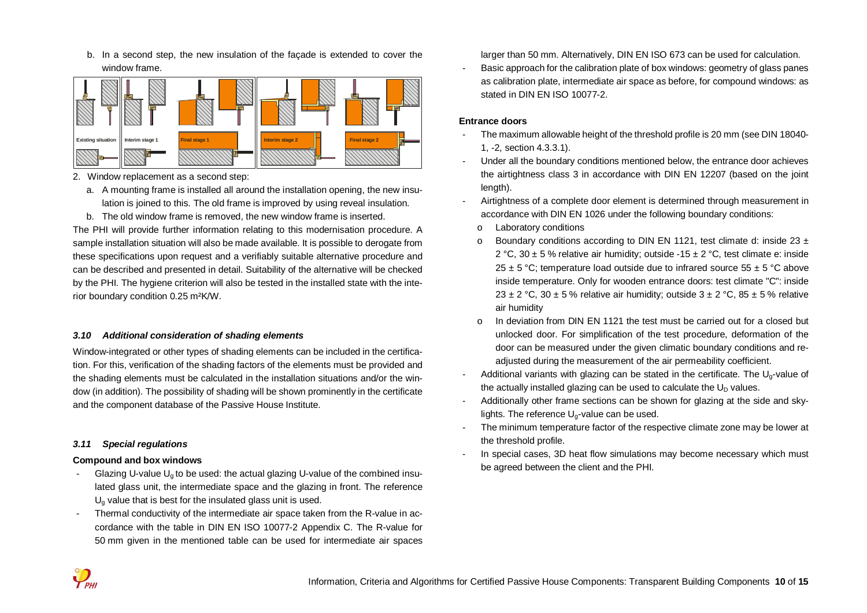b. In a second step, the new insulation of the façade is extended to cover the window frame.



- 2. Window replacement as a second step:
	- a. A mounting frame is installed all around the installation opening, the new insulation is joined to this. The old frame is improved by using reveal insulation.
	- b. The old window frame is removed, the new window frame is inserted.

The PHI will provide further information relating to this modernisation procedure. A sample installation situation will also be made available. It is possible to derogate from these specifications upon request and a verifiably suitable alternative procedure and can be described and presented in detail. Suitability of the alternative will be checked by the PHI. The hygiene criterion will also be tested in the installed state with the interior boundary condition 0.25 m²K/W.

#### *3.10 Additional consideration of shading elements*

Window-integrated or other types of shading elements can be included in the certification. For this, verification of the shading factors of the elements must be provided and the shading elements must be calculated in the installation situations and/or the window (in addition). The possibility of shading will be shown prominently in the certificate and the component database of the Passive House Institute.

#### *3.11 Special regulations*

#### **Compound and box windows**

- Glazing U-value  $U<sub>a</sub>$  to be used: the actual glazing U-value of the combined insulated glass unit, the intermediate space and the glazing in front. The reference  $U<sub>a</sub>$  value that is best for the insulated glass unit is used.
- Thermal conductivity of the intermediate air space taken from the R-value in accordance with the table in DIN EN ISO 10077-2 Appendix C. The R-value for 50 mm given in the mentioned table can be used for intermediate air spaces

larger than 50 mm. Alternatively, DIN EN ISO 673 can be used for calculation.

Basic approach for the calibration plate of box windows: geometry of glass panes as calibration plate, intermediate air space as before, for compound windows: as stated in DIN EN ISO 10077-2.

#### **Entrance doors**

- The maximum allowable height of the threshold profile is 20 mm (see DIN 18040-1, -2, section 4.3.3.1).
- Under all the boundary conditions mentioned below, the entrance door achieves the airtightness class 3 in accordance with DIN EN 12207 (based on the joint length).
- Airtightness of a complete door element is determined through measurement in accordance with DIN EN 1026 under the following boundary conditions:
	- o Laboratory conditions
	- $\circ$  Boundary conditions according to DIN EN 1121, test climate d: inside 23  $\pm$ 2 °C, 30  $\pm$  5 % relative air humidity; outside -15  $\pm$  2 °C, test climate e: inside 25  $\pm$  5 °C; temperature load outside due to infrared source 55  $\pm$  5 °C above inside temperature. Only for wooden entrance doors: test climate "C": inside 23  $\pm$  2 °C, 30  $\pm$  5 % relative air humidity; outside 3  $\pm$  2 °C, 85  $\pm$  5 % relative air humidity
	- o In deviation from DIN EN 1121 the test must be carried out for a closed but unlocked door. For simplification of the test procedure, deformation of the door can be measured under the given climatic boundary conditions and readjusted during the measurement of the air permeability coefficient.
- Additional variants with glazing can be stated in the certificate. The  $U<sub>0</sub>$ -value of the actually installed glazing can be used to calculate the  $U_D$  values.
- Additionally other frame sections can be shown for glazing at the side and skylights. The reference  $U_0$ -value can be used.
- The minimum temperature factor of the respective climate zone may be lower at the threshold profile.
- In special cases, 3D heat flow simulations may become necessary which must be agreed between the client and the PHI.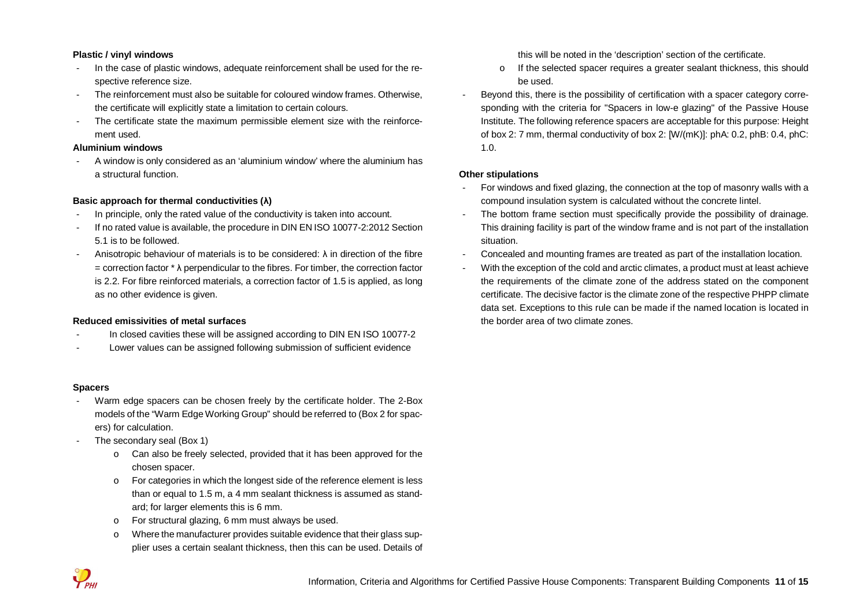#### **Plastic / vinyl windows**

- In the case of plastic windows, adequate reinforcement shall be used for the respective reference size.
- The reinforcement must also be suitable for coloured window frames. Otherwise, the certificate will explicitly state a limitation to certain colours.
- The certificate state the maximum permissible element size with the reinforcement used.

#### **Aluminium windows**

- A window is only considered as an 'aluminium window' where the aluminium has a structural function.

## **Basic approach for thermal conductivities (λ)**

- In principle, only the rated value of the conductivity is taken into account.
- If no rated value is available, the procedure in DIN EN ISO 10077-2:2012 Section 5.1 is to be followed.
- Anisotropic behaviour of materials is to be considered: λ in direction of the fibre  $=$  correction factor  $*$   $\lambda$  perpendicular to the fibres. For timber, the correction factor is 2.2. For fibre reinforced materials, a correction factor of 1.5 is applied, as long as no other evidence is given.

#### **Reduced emissivities of metal surfaces**

- In closed cavities these will be assigned according to DIN EN ISO 10077-2
- Lower values can be assigned following submission of sufficient evidence

#### **Spacers**

- Warm edge spacers can be chosen freely by the certificate holder. The 2-Box models of the "Warm Edge Working Group" should be referred to (Box 2 for spacers) for calculation.
- The secondary seal (Box 1)
	- o Can also be freely selected, provided that it has been approved for the chosen spacer.
	- o For categories in which the longest side of the reference element is less than or equal to 1.5 m, a 4 mm sealant thickness is assumed as standard; for larger elements this is 6 mm.
	- o For structural glazing, 6 mm must always be used.
	- o Where the manufacturer provides suitable evidence that their glass supplier uses a certain sealant thickness, then this can be used. Details of

this will be noted in the 'description' section of the certificate.

- o If the selected spacer requires a greater sealant thickness, this should be used.
- Beyond this, there is the possibility of certification with a spacer category corresponding with the criteria for "Spacers in low-e glazing" of the Passive House Institute. The following reference spacers are acceptable for this purpose: Height of box 2: 7 mm, thermal conductivity of box 2: [W/(mK)]: phA: 0.2, phB: 0.4, phC: 1.0.

#### **Other stipulations**

- For windows and fixed glazing, the connection at the top of masonry walls with a compound insulation system is calculated without the concrete lintel.
- The bottom frame section must specifically provide the possibility of drainage. This draining facility is part of the window frame and is not part of the installation situation.
- Concealed and mounting frames are treated as part of the installation location.
- With the exception of the cold and arctic climates, a product must at least achieve the requirements of the climate zone of the address stated on the component certificate. The decisive factor is the climate zone of the respective PHPP climate data set. Exceptions to this rule can be made if the named location is located in the border area of two climate zones.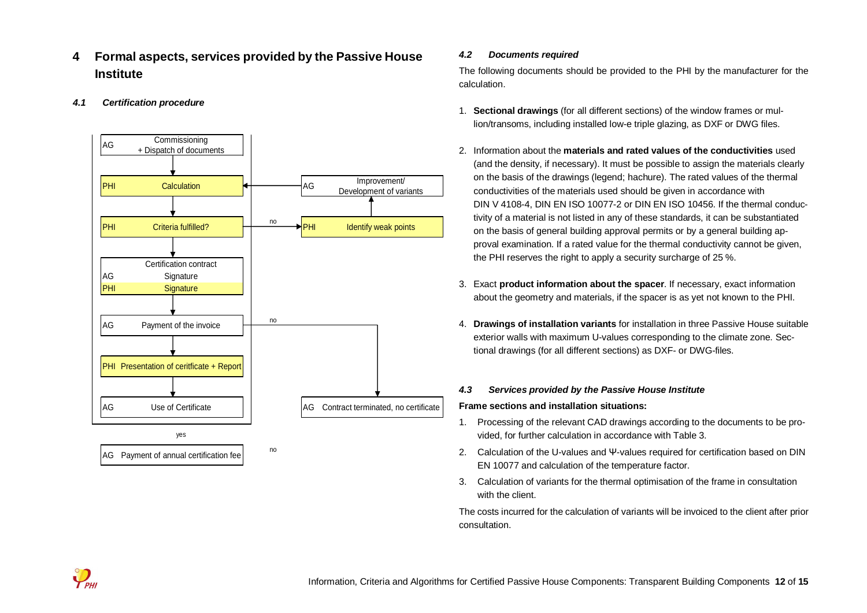- **4 Formal aspects, services provided by the Passive House Institute**
- *4.1 Certification procedure*



## *4.2 Documents required*

The following documents should be provided to the PHI by the manufacturer for the calculation.

- 1. **Sectional drawings** (for all different sections) of the window frames or mullion/transoms, including installed low-e triple glazing, as DXF or DWG files.
- 2. Information about the **materials and rated values of the conductivities** used (and the density, if necessary). It must be possible to assign the materials clearly on the basis of the drawings (legend; hachure). The rated values of the thermal conductivities of the materials used should be given in accordance with DIN V 4108-4, DIN EN ISO 10077-2 or DIN EN ISO 10456. If the thermal conductivity of a material is not listed in any of these standards, it can be substantiated on the basis of general building approval permits or by a general building approval examination. If a rated value for the thermal conductivity cannot be given, the PHI reserves the right to apply a security surcharge of 25 %.
- 3. Exact **product information about the spacer**. If necessary, exact information about the geometry and materials, if the spacer is as yet not known to the PHI.
- 4. **Drawings of installation variants** for installation in three Passive House suitable exterior walls with maximum U-values corresponding to the climate zone. Sectional drawings (for all different sections) as DXF- or DWG-files.

#### *4.3 Services provided by the Passive House Institute*

#### **Frame sections and installation situations:**

- 1. Processing of the relevant CAD drawings according to the documents to be provided, for further calculation in accordance with Table 3.
- 2. Calculation of the U-values and Ψ-values required for certification based on DIN EN 10077 and calculation of the temperature factor.
- 3. Calculation of variants for the thermal optimisation of the frame in consultation with the client.

The costs incurred for the calculation of variants will be invoiced to the client after prior consultation.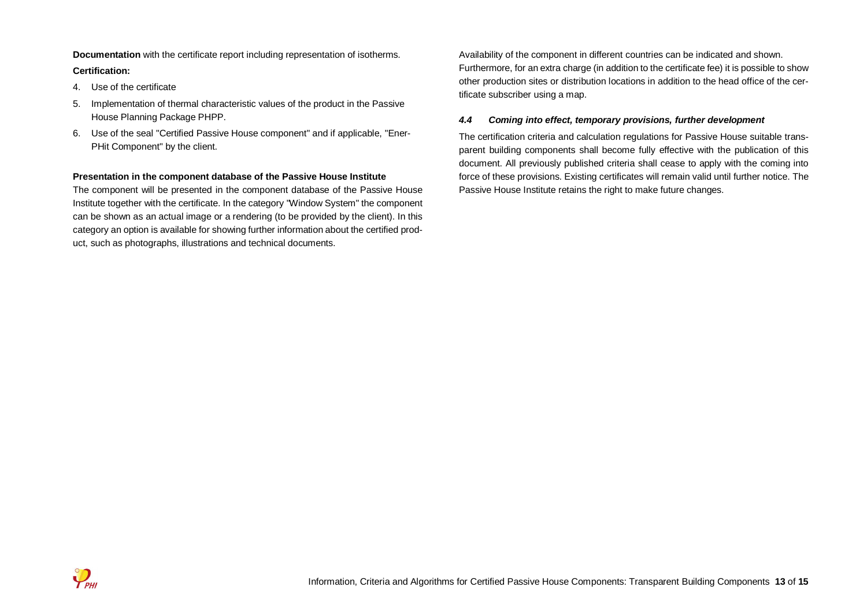**Documentation** with the certificate report including representation of isotherms. **Certification:**

- 4. Use of the certificate
- 5. Implementation of thermal characteristic values of the product in the Passive House Planning Package PHPP.
- 6. Use of the seal "Certified Passive House component" and if applicable, "Ener-PHit Component" by the client.

#### **Presentation in the component database of the Passive House Institute**

The component will be presented in the component database of the Passive House Institute together with the certificate. In the category "Window System" the component can be shown as an actual image or a rendering (to be provided by the client). In this category an option is available for showing further information about the certified product, such as photographs, illustrations and technical documents.

Availability of the component in different countries can be indicated and shown. Furthermore, for an extra charge (in addition to the certificate fee) it is possible to show other production sites or distribution locations in addition to the head office of the certificate subscriber using a map.

#### *4.4 Coming into effect, temporary provisions, further development*

The certification criteria and calculation regulations for Passive House suitable transparent building components shall become fully effective with the publication of this document. All previously published criteria shall cease to apply with the coming into force of these provisions. Existing certificates will remain valid until further notice. The Passive House Institute retains the right to make future changes.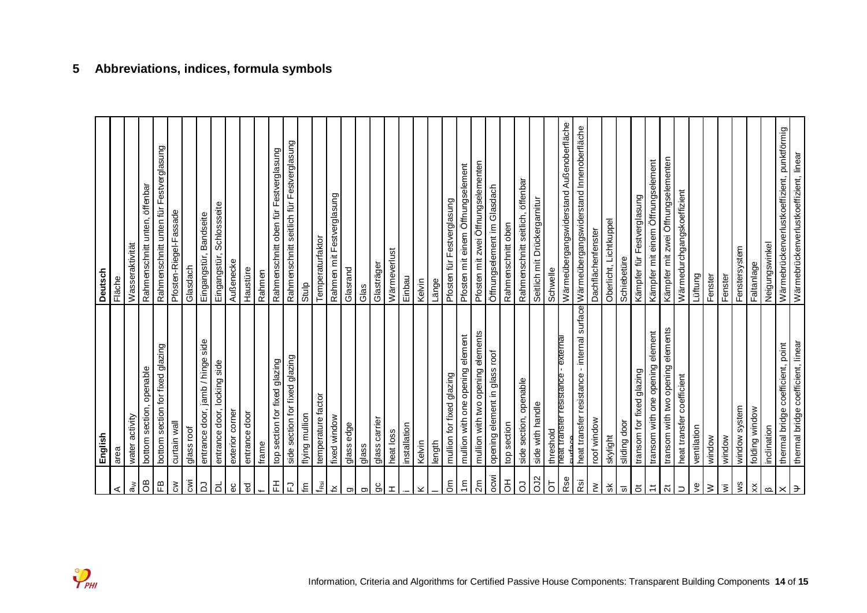| ⋖                        | English<br>area                             | <b>Deutsch</b><br>Fläche                    |
|--------------------------|---------------------------------------------|---------------------------------------------|
| $\mathbb{\tilde{a}}$     | water activity                              | Wasseraktivität                             |
| 8O                       | bottom section, openable                    | Rahmenschnitt unten, öffenbar               |
| $\mathbb{E}$             | bottom section for fixed glazing            | Rahmenschnitt unten für Festverglasung      |
| $\mathbf{g}$             | curtain wall                                | Pfosten-Riegel-Fassade                      |
| cwi                      | glass roof                                  | Glasdach                                    |
| 2                        | entrance door, jamb / hinge side            | Eingangstür, Bandseite                      |
| ಕ                        | entrance door, locking side                 | Eingangstür, Schlossseite                   |
| $\rm ^{\circ}$           | exterior corner                             | Außenecke                                   |
| $\mathbf{g}$             | entrance door                               | Haustüre                                    |
| $\leftarrow$             | frame                                       | Rahmen                                      |
| 푼                        | top section for fixed glazing               | Rahmenschnitt oben für Festverglasung       |
| 군                        | side section for fixed glazing              | Rahmenschnitt seitlich für Festverglasung   |
| Έ                        | flying mullion                              | Stulp                                       |
| $f_{\rm RSi}$            | temperature factor                          | Temperaturfaktor                            |
| $\preceq$                | fixed window                                | Rahmen mit Festverglasung                   |
| g                        | glass edge                                  | Glasrand                                    |
| Ō                        | glass                                       | Glas                                        |
| 9                        | glass carrier                               | Glasträger                                  |
| T.                       | heat loss                                   | Wärmeverlust                                |
|                          | installation                                | Einbau                                      |
| ×                        | Kelvin                                      | Kelvin                                      |
|                          | length                                      | Länge                                       |
| $\epsilon$               | mullion for fixed glazing                   | Pfosten für Festverglasung                  |
| $\widetilde{\epsilon}$   | mullion with one opening element            | Pfosten mit einem Öffnungselement           |
| 2m                       | mullion with two opening elements           | Pfosten mit zwei Öffnungselementen          |
| ocwi                     | opening element in glass roof               | Öffnungselement im Glasdach                 |
| $\rm \overline{5}$       | top section                                 | Rahmenschnitt oben                          |
| 5                        | side section, openable                      | Rahmenschnitt seitlich, öffenbar            |
| OJ2                      | side with handle                            | Seitlich mit Drückergarnitur                |
| $\overline{5}$           | threshold                                   | Schwelle                                    |
| Rse                      | neat transfer resistance - external         | Wärmeübergangswiderstand Außenoberfläche    |
| κä                       | heat transfer resistance - internal surface | Wärmeübergangswiderstand Innenoberfläche    |
| $\geq$                   | roof window                                 | Dachflächenfenster                          |
| ¥                        | skylight                                    | Oberlicht, Lichtkuppel                      |
| $\overline{\omega}$      | sliding door                                | Schiebetüre                                 |
| $\breve{\phantom{a}}$    | transom for fixed glazing                   | Kämpfer für Festverglasung                  |
| $\ddot{}$                | transom with one opening element            | Kämpfer mit einem Öffnungselement           |
| <b>Z</b>                 | transom with two opening elements           | Kämpfer mit zwei Öffnungselementen          |
| $\supset$                | heat transfer coefficient                   | Wärmedurchgangskoeffizient                  |
| ያ                        | ventilation                                 | Lüftung                                     |
| $\geq$                   | window                                      | Fenster                                     |
| Ī                        | window                                      | Fenster                                     |
| ψS                       | window system                               | Fenstersystem                               |
| ×.                       | folding window                              | Faltanlage                                  |
| മ                        | inclination                                 | Neigungswinkel                              |
| $\times$   $\rightarrow$ | thermal bridge coefficient, point           | Wärmebrückenverlustkoeffizient, punktförmig |
|                          | thermal bridge coefficient, linear          | Wärmebrückenverlustkoeffizient, linear      |

## **5 Abbreviations, indices, formula symbols**